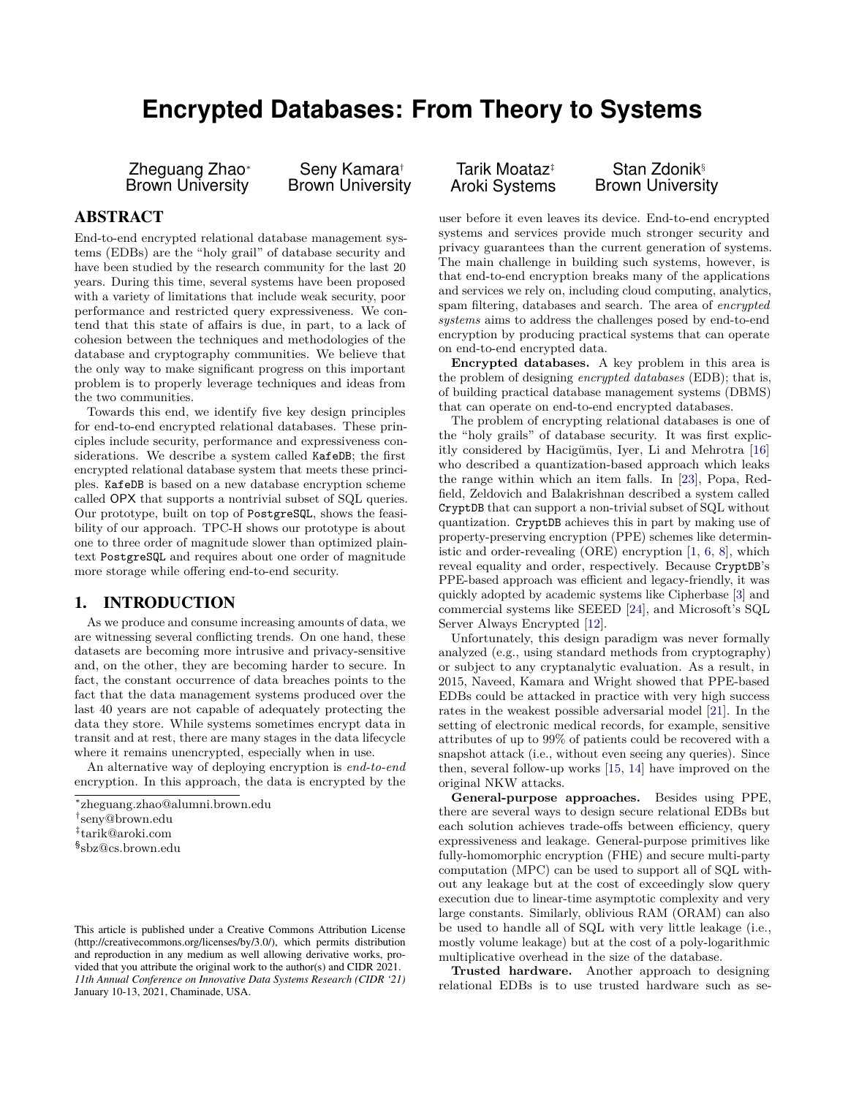# **Encrypted Databases: From Theory to Systems**

Zheguang Zhao<sup>∗</sup> Brown University

Seny Kamara† Brown University

## ABSTRACT

End-to-end encrypted relational database management systems (EDBs) are the "holy grail" of database security and have been studied by the research community for the last 20 years. During this time, several systems have been proposed with a variety of limitations that include weak security, poor performance and restricted query expressiveness. We contend that this state of affairs is due, in part, to a lack of cohesion between the techniques and methodologies of the database and cryptography communities. We believe that the only way to make significant progress on this important problem is to properly leverage techniques and ideas from the two communities.

Towards this end, we identify five key design principles for end-to-end encrypted relational databases. These principles include security, performance and expressiveness considerations. We describe a system called KafeDB; the first encrypted relational database system that meets these principles. KafeDB is based on a new database encryption scheme called OPX that supports a nontrivial subset of SQL queries. Our prototype, built on top of PostgreSQL, shows the feasibility of our approach. TPC-H shows our prototype is about one to three order of magnitude slower than optimized plaintext PostgreSQL and requires about one order of magnitude more storage while offering end-to-end security.

#### 1. INTRODUCTION

As we produce and consume increasing amounts of data, we are witnessing several conflicting trends. On one hand, these datasets are becoming more intrusive and privacy-sensitive and, on the other, they are becoming harder to secure. In fact, the constant occurrence of data breaches points to the fact that the data management systems produced over the last 40 years are not capable of adequately protecting the data they store. While systems sometimes encrypt data in transit and at rest, there are many stages in the data lifecycle where it remains unencrypted, especially when in use.

An alternative way of deploying encryption is *end-to-end* encryption. In this approach, the data is encrypted by the

Tarik Moataz‡ Aroki Systems

Stan Zdonik<sup>§</sup> Brown University

user before it even leaves its device. End-to-end encrypted systems and services provide much stronger security and privacy guarantees than the current generation of systems. The main challenge in building such systems, however, is that end-to-end encryption breaks many of the applications and services we rely on, including cloud computing, analytics, spam filtering, databases and search. The area of *encrypted systems* aims to address the challenges posed by end-to-end encryption by producing practical systems that can operate on end-to-end encrypted data.

**Encrypted databases.** A key problem in this area is the problem of designing *encrypted databases* (EDB); that is, of building practical database management systems (DBMS) that can operate on end-to-end encrypted databases.

The problem of encrypting relational databases is one of the "holy grails" of database security. It was first explicitly considered by Hacigümüs, Iyer, Li and Mehrotra [\[16\]](#page-6-0) who described a quantization-based approach which leaks the range within which an item falls. In [\[23\]](#page-6-1), Popa, Redfield, Zeldovich and Balakrishnan described a system called CryptDB that can support a non-trivial subset of SQL without quantization. CryptDB achieves this in part by making use of property-preserving encryption (PPE) schemes like deterministic and order-revealing (ORE) encryption [\[1,](#page-6-2) [6,](#page-6-3) [8\]](#page-6-4), which reveal equality and order, respectively. Because CryptDB's PPE-based approach was efficient and legacy-friendly, it was quickly adopted by academic systems like Cipherbase [\[3\]](#page-6-5) and commercial systems like SEEED [\[24\]](#page-6-6), and Microsoft's SQL Server Always Encrypted [\[12\]](#page-6-7).

Unfortunately, this design paradigm was never formally analyzed (e.g., using standard methods from cryptography) or subject to any cryptanalytic evaluation. As a result, in 2015, Naveed, Kamara and Wright showed that PPE-based EDBs could be attacked in practice with very high success rates in the weakest possible adversarial model [\[21\]](#page-6-8). In the setting of electronic medical records, for example, sensitive attributes of up to 99% of patients could be recovered with a snapshot attack (i.e., without even seeing any queries). Since then, several follow-up works [\[15,](#page-6-9) [14\]](#page-6-10) have improved on the original NKW attacks.

**General-purpose approaches.** Besides using PPE, there are several ways to design secure relational EDBs but each solution achieves trade-offs between efficiency, query expressiveness and leakage. General-purpose primitives like fully-homomorphic encryption (FHE) and secure multi-party computation (MPC) can be used to support all of SQL without any leakage but at the cost of exceedingly slow query execution due to linear-time asymptotic complexity and very large constants. Similarly, oblivious RAM (ORAM) can also be used to handle all of SQL with very little leakage (i.e., mostly volume leakage) but at the cost of a poly-logarithmic multiplicative overhead in the size of the database.

**Trusted hardware.** Another approach to designing relational EDBs is to use trusted hardware such as se-

<sup>∗</sup> zheguang.zhao@alumni.brown.edu

<sup>†</sup> seny@brown.edu

<sup>‡</sup> tarik@aroki.com

<sup>§</sup> sbz@cs.brown.edu

This article is published under a Creative Commons Attribution License (http://creativecommons.org/licenses/by/3.0/), which permits distribution and reproduction in any medium as well allowing derivative works, provided that you attribute the original work to the author(s) and CIDR 2021. *11th Annual Conference on Innovative Data Systems Research (CIDR '21)* January 10-13, 2021, Chaminade, USA.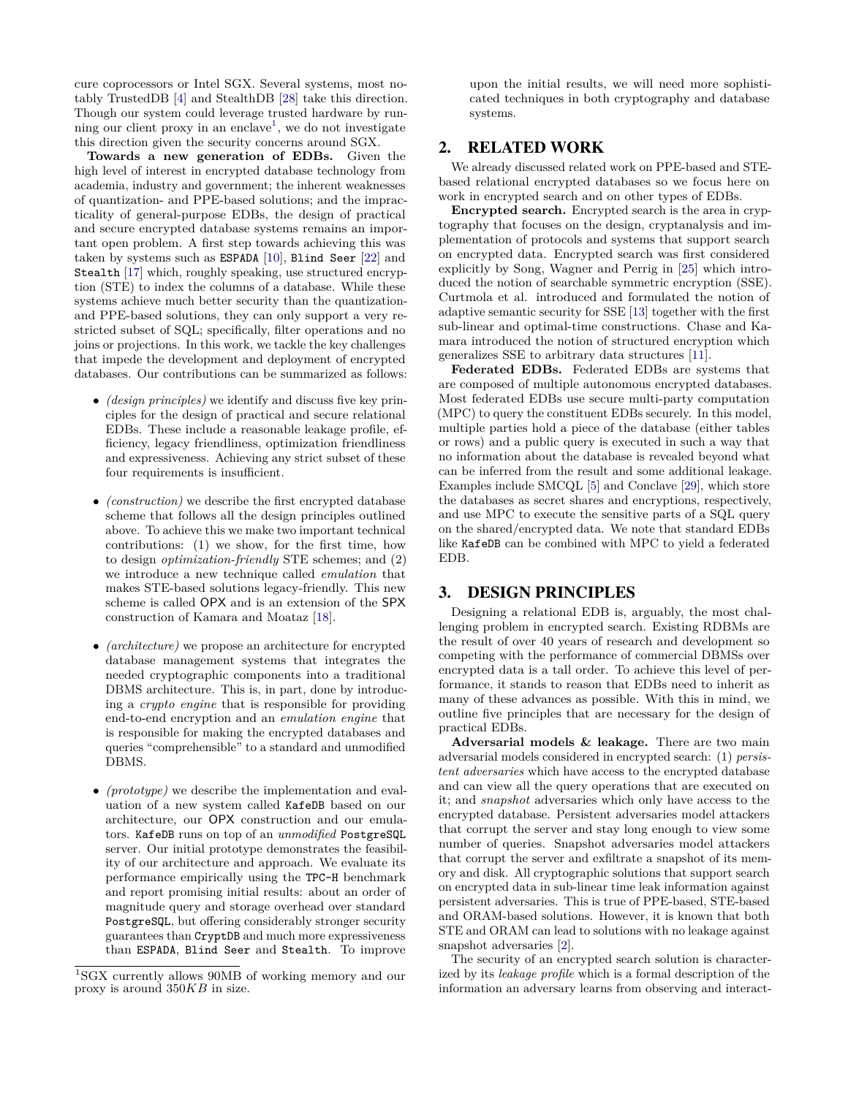cure coprocessors or Intel SGX. Several systems, most notably TrustedDB [\[4\]](#page-6-11) and StealthDB [\[28\]](#page-6-12) take this direction. Though our system could leverage trusted hardware by run-ning our client proxy in an enclave<sup>[1](#page-1-0)</sup>, we do not investigate this direction given the security concerns around SGX.

**Towards a new generation of EDBs.** Given the high level of interest in encrypted database technology from academia, industry and government; the inherent weaknesses of quantization- and PPE-based solutions; and the impracticality of general-purpose EDBs, the design of practical and secure encrypted database systems remains an important open problem. A first step towards achieving this was taken by systems such as ESPADA [\[10\]](#page-6-13), Blind Seer [\[22\]](#page-6-14) and Stealth [\[17\]](#page-6-15) which, roughly speaking, use structured encryption (STE) to index the columns of a database. While these systems achieve much better security than the quantizationand PPE-based solutions, they can only support a very restricted subset of SQL; specifically, filter operations and no joins or projections. In this work, we tackle the key challenges that impede the development and deployment of encrypted databases. Our contributions can be summarized as follows:

- *(design principles)* we identify and discuss five key principles for the design of practical and secure relational EDBs. These include a reasonable leakage profile, efficiency, legacy friendliness, optimization friendliness and expressiveness. Achieving any strict subset of these four requirements is insufficient.
- *(construction)* we describe the first encrypted database scheme that follows all the design principles outlined above. To achieve this we make two important technical contributions: (1) we show, for the first time, how to design *optimization-friendly* STE schemes; and (2) we introduce a new technique called *emulation* that makes STE-based solutions legacy-friendly. This new scheme is called OPX and is an extension of the SPX construction of Kamara and Moataz [\[18\]](#page-6-16).
- *(architecture)* we propose an architecture for encrypted database management systems that integrates the needed cryptographic components into a traditional DBMS architecture. This is, in part, done by introducing a *crypto engine* that is responsible for providing end-to-end encryption and an *emulation engine* that is responsible for making the encrypted databases and queries "comprehensible" to a standard and unmodified DBMS.
- *(prototype)* we describe the implementation and evaluation of a new system called KafeDB based on our architecture, our OPX construction and our emulators. KafeDB runs on top of an *unmodified* PostgreSQL server. Our initial prototype demonstrates the feasibility of our architecture and approach. We evaluate its performance empirically using the TPC-H benchmark and report promising initial results: about an order of magnitude query and storage overhead over standard PostgreSQL, but offering considerably stronger security guarantees than CryptDB and much more expressiveness than ESPADA, Blind Seer and Stealth. To improve

upon the initial results, we will need more sophisticated techniques in both cryptography and database systems.

## 2. RELATED WORK

We already discussed related work on PPE-based and STEbased relational encrypted databases so we focus here on work in encrypted search and on other types of EDBs.

**Encrypted search.** Encrypted search is the area in cryptography that focuses on the design, cryptanalysis and implementation of protocols and systems that support search on encrypted data. Encrypted search was first considered explicitly by Song, Wagner and Perrig in [\[25\]](#page-6-17) which introduced the notion of searchable symmetric encryption (SSE). Curtmola et al. introduced and formulated the notion of adaptive semantic security for SSE [\[13\]](#page-6-18) together with the first sub-linear and optimal-time constructions. Chase and Kamara introduced the notion of structured encryption which generalizes SSE to arbitrary data structures [\[11\]](#page-6-19).

**Federated EDBs.** Federated EDBs are systems that are composed of multiple autonomous encrypted databases. Most federated EDBs use secure multi-party computation (MPC) to query the constituent EDBs securely. In this model, multiple parties hold a piece of the database (either tables or rows) and a public query is executed in such a way that no information about the database is revealed beyond what can be inferred from the result and some additional leakage. Examples include SMCQL [\[5\]](#page-6-20) and Conclave [\[29\]](#page-6-21), which store the databases as secret shares and encryptions, respectively, and use MPC to execute the sensitive parts of a SQL query on the shared/encrypted data. We note that standard EDBs like KafeDB can be combined with MPC to yield a federated EDB.

## <span id="page-1-1"></span>3. DESIGN PRINCIPLES

Designing a relational EDB is, arguably, the most challenging problem in encrypted search. Existing RDBMs are the result of over 40 years of research and development so competing with the performance of commercial DBMSs over encrypted data is a tall order. To achieve this level of performance, it stands to reason that EDBs need to inherit as many of these advances as possible. With this in mind, we outline five principles that are necessary for the design of practical EDBs.

**Adversarial models & leakage.** There are two main adversarial models considered in encrypted search: (1) *persistent adversaries* which have access to the encrypted database and can view all the query operations that are executed on it; and *snapshot* adversaries which only have access to the encrypted database. Persistent adversaries model attackers that corrupt the server and stay long enough to view some number of queries. Snapshot adversaries model attackers that corrupt the server and exfiltrate a snapshot of its memory and disk. All cryptographic solutions that support search on encrypted data in sub-linear time leak information against persistent adversaries. This is true of PPE-based, STE-based and ORAM-based solutions. However, it is known that both STE and ORAM can lead to solutions with no leakage against snapshot adversaries [\[2\]](#page-6-22).

The security of an encrypted search solution is characterized by its *leakage profile* which is a formal description of the information an adversary learns from observing and interact-

<span id="page-1-0"></span><sup>1</sup>SGX currently allows 90MB of working memory and our proxy is around 350*KB* in size.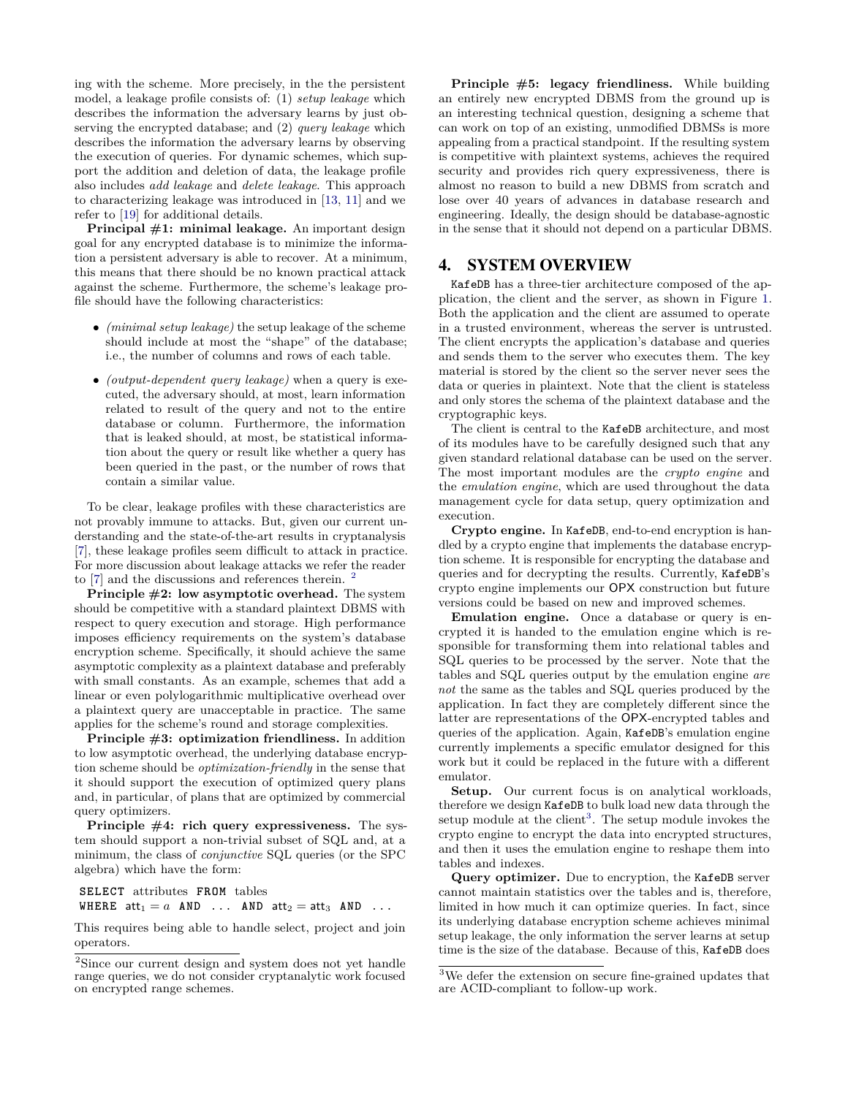ing with the scheme. More precisely, in the the persistent model, a leakage profile consists of: (1) *setup leakage* which describes the information the adversary learns by just observing the encrypted database; and (2) *query leakage* which describes the information the adversary learns by observing the execution of queries. For dynamic schemes, which support the addition and deletion of data, the leakage profile also includes *add leakage* and *delete leakage*. This approach to characterizing leakage was introduced in [\[13,](#page-6-18) [11\]](#page-6-19) and we refer to [\[19\]](#page-6-23) for additional details.

**Principal #1: minimal leakage.** An important design goal for any encrypted database is to minimize the information a persistent adversary is able to recover. At a minimum, this means that there should be no known practical attack against the scheme. Furthermore, the scheme's leakage profile should have the following characteristics:

- *(minimal setup leakage)* the setup leakage of the scheme should include at most the "shape" of the database; i.e., the number of columns and rows of each table.
- *(output-dependent query leakage)* when a query is executed, the adversary should, at most, learn information related to result of the query and not to the entire database or column. Furthermore, the information that is leaked should, at most, be statistical information about the query or result like whether a query has been queried in the past, or the number of rows that contain a similar value.

To be clear, leakage profiles with these characteristics are not provably immune to attacks. But, given our current understanding and the state-of-the-art results in cryptanalysis [\[7\]](#page-6-24), these leakage profiles seem difficult to attack in practice. For more discussion about leakage attacks we refer the reader to [\[7\]](#page-6-24) and the discussions and references therein. <sup>[2](#page-2-0)</sup>

**Principle #2: low asymptotic overhead.** The system should be competitive with a standard plaintext DBMS with respect to query execution and storage. High performance imposes efficiency requirements on the system's database encryption scheme. Specifically, it should achieve the same asymptotic complexity as a plaintext database and preferably with small constants. As an example, schemes that add a linear or even polylogarithmic multiplicative overhead over a plaintext query are unacceptable in practice. The same applies for the scheme's round and storage complexities.

**Principle #3: optimization friendliness.** In addition to low asymptotic overhead, the underlying database encryption scheme should be *optimization-friendly* in the sense that it should support the execution of optimized query plans and, in particular, of plans that are optimized by commercial query optimizers.

**Principle #4: rich query expressiveness.** The system should support a non-trivial subset of SQL and, at a minimum, the class of *conjunctive* SQL queries (or the SPC algebra) which have the form:

**SELECT** attributes **FROM** tables WHERE  $att_1 = a$  AND ... AND  $att_2 = att_3$  AND ...

This requires being able to handle select, project and join operators.

**Principle #5: legacy friendliness.** While building an entirely new encrypted DBMS from the ground up is an interesting technical question, designing a scheme that can work on top of an existing, unmodified DBMSs is more appealing from a practical standpoint. If the resulting system is competitive with plaintext systems, achieves the required security and provides rich query expressiveness, there is almost no reason to build a new DBMS from scratch and lose over 40 years of advances in database research and engineering. Ideally, the design should be database-agnostic in the sense that it should not depend on a particular DBMS.

#### 4. SYSTEM OVERVIEW

KafeDB has a three-tier architecture composed of the application, the client and the server, as shown in Figure [1.](#page-3-0) Both the application and the client are assumed to operate in a trusted environment, whereas the server is untrusted. The client encrypts the application's database and queries and sends them to the server who executes them. The key material is stored by the client so the server never sees the data or queries in plaintext. Note that the client is stateless and only stores the schema of the plaintext database and the cryptographic keys.

The client is central to the KafeDB architecture, and most of its modules have to be carefully designed such that any given standard relational database can be used on the server. The most important modules are the *crypto engine* and the *emulation engine*, which are used throughout the data management cycle for data setup, query optimization and execution.

**Crypto engine.** In KafeDB, end-to-end encryption is handled by a crypto engine that implements the database encryption scheme. It is responsible for encrypting the database and queries and for decrypting the results. Currently, KafeDB's crypto engine implements our OPX construction but future versions could be based on new and improved schemes.

**Emulation engine.** Once a database or query is encrypted it is handed to the emulation engine which is responsible for transforming them into relational tables and SQL queries to be processed by the server. Note that the tables and SQL queries output by the emulation engine *are not* the same as the tables and SQL queries produced by the application. In fact they are completely different since the latter are representations of the OPX-encrypted tables and queries of the application. Again, KafeDB's emulation engine currently implements a specific emulator designed for this work but it could be replaced in the future with a different emulator.

Setup. Our current focus is on analytical workloads, therefore we design KafeDB to bulk load new data through the setup module at the client<sup>[3](#page-2-1)</sup>. The setup module invokes the crypto engine to encrypt the data into encrypted structures, and then it uses the emulation engine to reshape them into tables and indexes.

**Query optimizer.** Due to encryption, the KafeDB server cannot maintain statistics over the tables and is, therefore, limited in how much it can optimize queries. In fact, since its underlying database encryption scheme achieves minimal setup leakage, the only information the server learns at setup time is the size of the database. Because of this, KafeDB does

<span id="page-2-0"></span><sup>2</sup>Since our current design and system does not yet handle range queries, we do not consider cryptanalytic work focused on encrypted range schemes.

<span id="page-2-1"></span><sup>3</sup>We defer the extension on secure fine-grained updates that are ACID-compliant to follow-up work.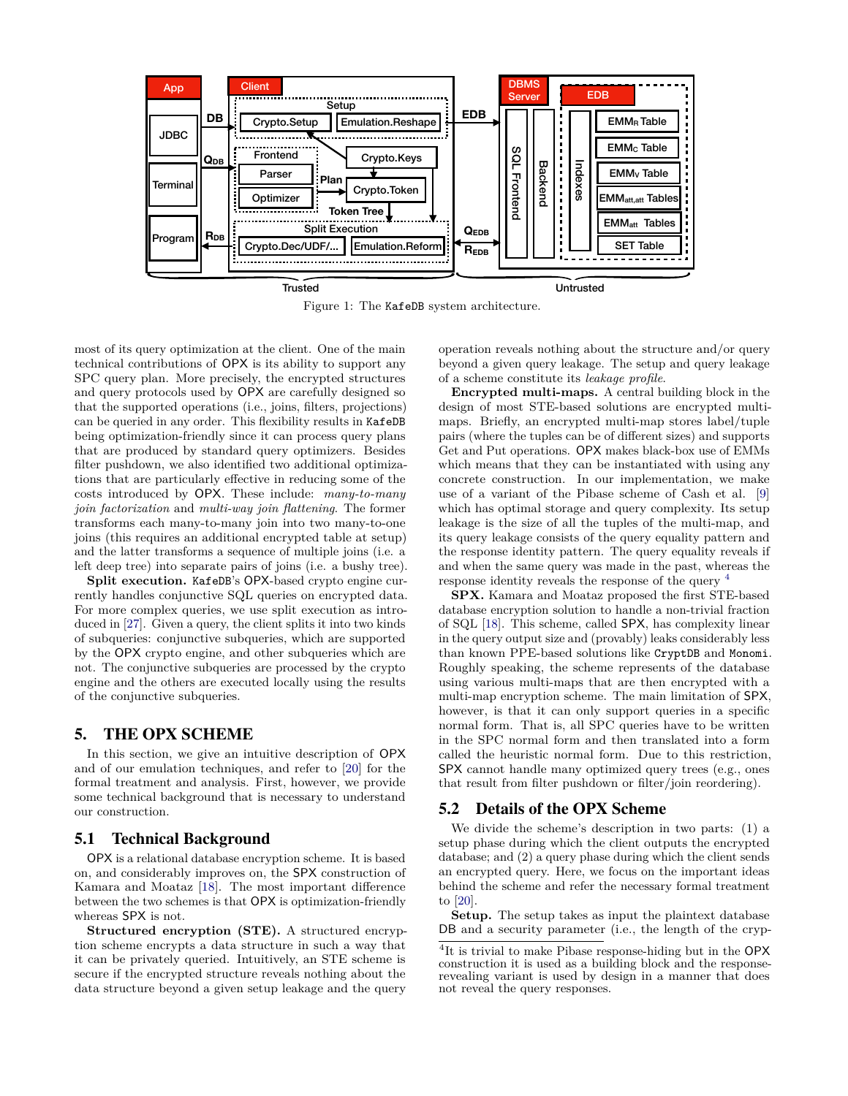<span id="page-3-0"></span>

Figure 1: The KafeDB system architecture.

most of its query optimization at the client. One of the main technical contributions of OPX is its ability to support any SPC query plan. More precisely, the encrypted structures and query protocols used by OPX are carefully designed so that the supported operations (i.e., joins, filters, projections) can be queried in any order. This flexibility results in KafeDB being optimization-friendly since it can process query plans that are produced by standard query optimizers. Besides filter pushdown, we also identified two additional optimizations that are particularly effective in reducing some of the costs introduced by OPX. These include: *many-to-many join factorization* and *multi-way join flattening*. The former transforms each many-to-many join into two many-to-one joins (this requires an additional encrypted table at setup) and the latter transforms a sequence of multiple joins (i.e. a left deep tree) into separate pairs of joins (i.e. a bushy tree).

**Split execution.** KafeDB's OPX-based crypto engine currently handles conjunctive SQL queries on encrypted data. For more complex queries, we use split execution as introduced in [\[27\]](#page-6-25). Given a query, the client splits it into two kinds of subqueries: conjunctive subqueries, which are supported by the OPX crypto engine, and other subqueries which are not. The conjunctive subqueries are processed by the crypto engine and the others are executed locally using the results of the conjunctive subqueries.

#### 5. THE OPX SCHEME

In this section, we give an intuitive description of OPX and of our emulation techniques, and refer to [\[20\]](#page-6-26) for the formal treatment and analysis. First, however, we provide some technical background that is necessary to understand our construction.

#### 5.1 Technical Background

OPX is a relational database encryption scheme. It is based on, and considerably improves on, the SPX construction of Kamara and Moataz [\[18\]](#page-6-16). The most important difference between the two schemes is that OPX is optimization-friendly whereas SPX is not.

**Structured encryption (STE).** A structured encryption scheme encrypts a data structure in such a way that it can be privately queried. Intuitively, an STE scheme is secure if the encrypted structure reveals nothing about the data structure beyond a given setup leakage and the query

operation reveals nothing about the structure and/or query beyond a given query leakage. The setup and query leakage of a scheme constitute its *leakage profile*.

**Encrypted multi-maps.** A central building block in the design of most STE-based solutions are encrypted multimaps. Briefly, an encrypted multi-map stores label/tuple pairs (where the tuples can be of different sizes) and supports Get and Put operations. OPX makes black-box use of EMMs which means that they can be instantiated with using any concrete construction. In our implementation, we make use of a variant of the Pibase scheme of Cash et al. [\[9\]](#page-6-27) which has optimal storage and query complexity. Its setup leakage is the size of all the tuples of the multi-map, and its query leakage consists of the query equality pattern and the response identity pattern. The query equality reveals if and when the same query was made in the past, whereas the response identity reveals the response of the query [4](#page-3-1)

**SPX.** Kamara and Moataz proposed the first STE-based database encryption solution to handle a non-trivial fraction of SQL [\[18\]](#page-6-16). This scheme, called SPX, has complexity linear in the query output size and (provably) leaks considerably less than known PPE-based solutions like CryptDB and Monomi. Roughly speaking, the scheme represents of the database using various multi-maps that are then encrypted with a multi-map encryption scheme. The main limitation of SPX, however, is that it can only support queries in a specific normal form. That is, all SPC queries have to be written in the SPC normal form and then translated into a form called the heuristic normal form. Due to this restriction, SPX cannot handle many optimized query trees (e.g., ones that result from filter pushdown or filter/join reordering).

#### 5.2 Details of the OPX Scheme

We divide the scheme's description in two parts: (1) a setup phase during which the client outputs the encrypted database; and (2) a query phase during which the client sends an encrypted query. Here, we focus on the important ideas behind the scheme and refer the necessary formal treatment to [\[20\]](#page-6-26).

**Setup.** The setup takes as input the plaintext database DB and a security parameter (i.e., the length of the cryp-

<span id="page-3-1"></span><sup>&</sup>lt;sup>4</sup>It is trivial to make Pibase response-hiding but in the OPX construction it is used as a building block and the responserevealing variant is used by design in a manner that does not reveal the query responses.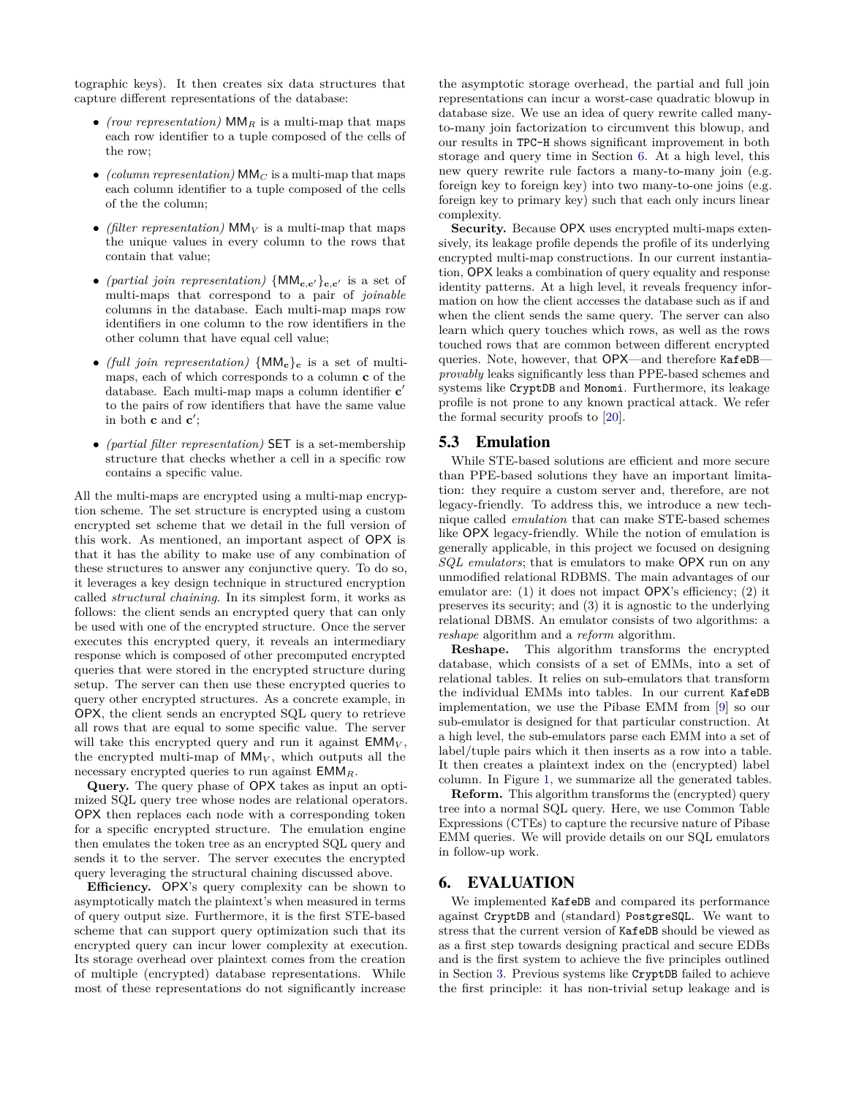tographic keys). It then creates six data structures that capture different representations of the database:

- *(row representation)*  $MM_R$  is a multi-map that maps each row identifier to a tuple composed of the cells of the row;
- $\bullet$  *(column representation)* MM $_C$  is a multi-map that maps each column identifier to a tuple composed of the cells of the the column;
- *(filter representation)* MM*<sup>V</sup>* is a multi-map that maps the unique values in every column to the rows that contain that value;
- *(partial join representation)*  $\{MM_{\mathbf{c},\mathbf{c}'}\}_{\mathbf{c},\mathbf{c}'}$  is a set of multi-maps that correspond to a pair of *joinable* columns in the database. Each multi-map maps row identifiers in one column to the row identifiers in the other column that have equal cell value;
- *(full join representation)* {MM**c**}**<sup>c</sup>** is a set of multimaps, each of which corresponds to a column **c** of the database. Each multi-map maps a column identifier **c**<sup>'</sup> to the pairs of row identifiers that have the same value in both **c** and **c**';
- *(partial filter representation)* SET is a set-membership structure that checks whether a cell in a specific row contains a specific value.

All the multi-maps are encrypted using a multi-map encryption scheme. The set structure is encrypted using a custom encrypted set scheme that we detail in the full version of this work. As mentioned, an important aspect of OPX is that it has the ability to make use of any combination of these structures to answer any conjunctive query. To do so, it leverages a key design technique in structured encryption called *structural chaining*. In its simplest form, it works as follows: the client sends an encrypted query that can only be used with one of the encrypted structure. Once the server executes this encrypted query, it reveals an intermediary response which is composed of other precomputed encrypted queries that were stored in the encrypted structure during setup. The server can then use these encrypted queries to query other encrypted structures. As a concrete example, in OPX, the client sends an encrypted SQL query to retrieve all rows that are equal to some specific value. The server will take this encrypted query and run it against  $EMM_V$ , the encrypted multi-map of  $MM_V$ , which outputs all the necessary encrypted queries to run against EMM*R*.

**Query.** The query phase of OPX takes as input an optimized SQL query tree whose nodes are relational operators. OPX then replaces each node with a corresponding token for a specific encrypted structure. The emulation engine then emulates the token tree as an encrypted SQL query and sends it to the server. The server executes the encrypted query leveraging the structural chaining discussed above.

**Efficiency.** OPX's query complexity can be shown to asymptotically match the plaintext's when measured in terms of query output size. Furthermore, it is the first STE-based scheme that can support query optimization such that its encrypted query can incur lower complexity at execution. Its storage overhead over plaintext comes from the creation of multiple (encrypted) database representations. While most of these representations do not significantly increase

the asymptotic storage overhead, the partial and full join representations can incur a worst-case quadratic blowup in database size. We use an idea of query rewrite called manyto-many join factorization to circumvent this blowup, and our results in TPC-H shows significant improvement in both storage and query time in Section [6.](#page-4-0) At a high level, this new query rewrite rule factors a many-to-many join (e.g. foreign key to foreign key) into two many-to-one joins (e.g. foreign key to primary key) such that each only incurs linear complexity.

Security. Because OPX uses encrypted multi-maps extensively, its leakage profile depends the profile of its underlying encrypted multi-map constructions. In our current instantiation, OPX leaks a combination of query equality and response identity patterns. At a high level, it reveals frequency information on how the client accesses the database such as if and when the client sends the same query. The server can also learn which query touches which rows, as well as the rows touched rows that are common between different encrypted queries. Note, however, that OPX—and therefore KafeDB *provably* leaks significantly less than PPE-based schemes and systems like CryptDB and Monomi. Furthermore, its leakage profile is not prone to any known practical attack. We refer the formal security proofs to [\[20\]](#page-6-26).

#### 5.3 Emulation

While STE-based solutions are efficient and more secure than PPE-based solutions they have an important limitation: they require a custom server and, therefore, are not legacy-friendly. To address this, we introduce a new technique called *emulation* that can make STE-based schemes like OPX legacy-friendly. While the notion of emulation is generally applicable, in this project we focused on designing *SQL emulators*; that is emulators to make OPX run on any unmodified relational RDBMS. The main advantages of our emulator are: (1) it does not impact OPX's efficiency; (2) it preserves its security; and (3) it is agnostic to the underlying relational DBMS. An emulator consists of two algorithms: a *reshape* algorithm and a *reform* algorithm.

**Reshape.** This algorithm transforms the encrypted database, which consists of a set of EMMs, into a set of relational tables. It relies on sub-emulators that transform the individual EMMs into tables. In our current KafeDB implementation, we use the Pibase EMM from [\[9\]](#page-6-27) so our sub-emulator is designed for that particular construction. At a high level, the sub-emulators parse each EMM into a set of label/tuple pairs which it then inserts as a row into a table. It then creates a plaintext index on the (encrypted) label column. In Figure [1,](#page-3-0) we summarize all the generated tables.

**Reform.** This algorithm transforms the (encrypted) query tree into a normal SQL query. Here, we use Common Table Expressions (CTEs) to capture the recursive nature of Pibase EMM queries. We will provide details on our SQL emulators in follow-up work.

## <span id="page-4-0"></span>6. EVALUATION

We implemented KafeDB and compared its performance against CryptDB and (standard) PostgreSQL. We want to stress that the current version of KafeDB should be viewed as as a first step towards designing practical and secure EDBs and is the first system to achieve the five principles outlined in Section [3.](#page-1-1) Previous systems like CryptDB failed to achieve the first principle: it has non-trivial setup leakage and is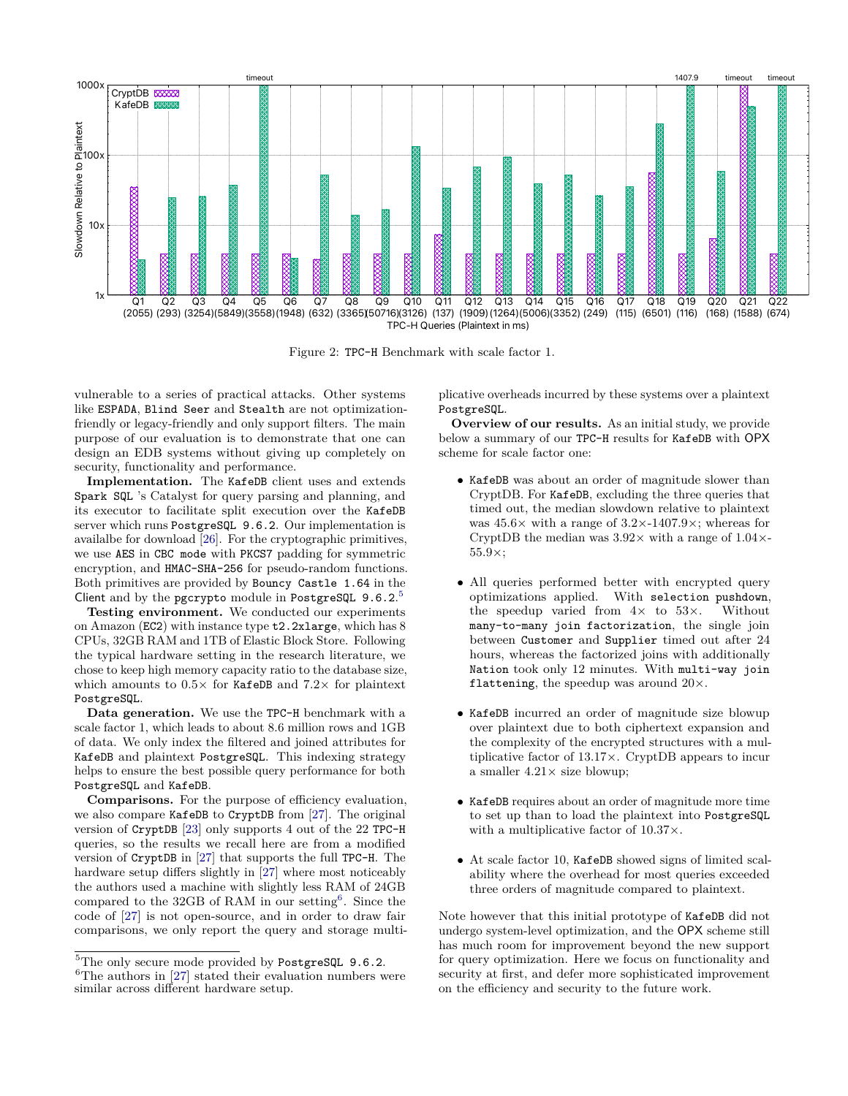

Figure 2: TPC-H Benchmark with scale factor 1.

vulnerable to a series of practical attacks. Other systems like ESPADA, Blind Seer and Stealth are not optimizationfriendly or legacy-friendly and only support filters. The main purpose of our evaluation is to demonstrate that one can design an EDB systems without giving up completely on security, functionality and performance.

**Implementation.** The KafeDB client uses and extends Spark SQL 's Catalyst for query parsing and planning, and its executor to facilitate split execution over the KafeDB server which runs PostgreSQL 9.6.2. Our implementation is availalbe for download [\[26\]](#page-6-28). For the cryptographic primitives, we use AES in CBC mode with PKCS7 padding for symmetric encryption, and HMAC-SHA-256 for pseudo-random functions. Both primitives are provided by Bouncy Castle 1.64 in the Client and by the pgcrypto module in PostgreSQL 9.6.2.<sup>[5](#page-5-0)</sup>

**Testing environment.** We conducted our experiments on Amazon (EC2) with instance type t2.2xlarge, which has 8 CPUs, 32GB RAM and 1TB of Elastic Block Store. Following the typical hardware setting in the research literature, we chose to keep high memory capacity ratio to the database size, which amounts to 0*.*5× for KafeDB and 7*.*2× for plaintext PostgreSQL.

**Data generation.** We use the TPC-H benchmark with a scale factor 1, which leads to about 8*.*6 million rows and 1GB of data. We only index the filtered and joined attributes for KafeDB and plaintext PostgreSQL. This indexing strategy helps to ensure the best possible query performance for both PostgreSQL and KafeDB.

**Comparisons.** For the purpose of efficiency evaluation, we also compare KafeDB to CryptDB from [\[27\]](#page-6-25). The original version of CryptDB [\[23\]](#page-6-1) only supports 4 out of the 22 TPC-H queries, so the results we recall here are from a modified version of CryptDB in [\[27\]](#page-6-25) that supports the full TPC-H. The hardware setup differs slightly in [\[27\]](#page-6-25) where most noticeably the authors used a machine with slightly less RAM of 24GB compared to the  $32GB$  of RAM in our setting<sup>[6](#page-5-1)</sup>. Since the code of [\[27\]](#page-6-25) is not open-source, and in order to draw fair comparisons, we only report the query and storage multiplicative overheads incurred by these systems over a plaintext PostgreSQL.

**Overview of our results.** As an initial study, we provide below a summary of our TPC-H results for KafeDB with OPX scheme for scale factor one:

- KafeDB was about an order of magnitude slower than CryptDB. For KafeDB, excluding the three queries that timed out, the median slowdown relative to plaintext was  $45.6\times$  with a range of  $3.2\times$ -1407*.9* $\times$ ; whereas for CryptDB the median was  $3.92 \times$  with a range of  $1.04 \times$ 55*.*9×;
- All queries performed better with encrypted query optimizations applied. With selection pushdown, the speedup varied from  $4 \times$  to  $53 \times$ . Without many-to-many join factorization, the single join between Customer and Supplier timed out after 24 hours, whereas the factorized joins with additionally Nation took only 12 minutes. With multi-way join flattening, the speedup was around  $20\times$ .
- KafeDB incurred an order of magnitude size blowup over plaintext due to both ciphertext expansion and the complexity of the encrypted structures with a multiplicative factor of 13*.*17×. CryptDB appears to incur a smaller 4*.*21× size blowup;
- KafeDB requires about an order of magnitude more time to set up than to load the plaintext into PostgreSQL with a multiplicative factor of 10*.*37×.
- At scale factor 10, KafeDB showed signs of limited scalability where the overhead for most queries exceeded three orders of magnitude compared to plaintext.

Note however that this initial prototype of KafeDB did not undergo system-level optimization, and the OPX scheme still has much room for improvement beyond the new support for query optimization. Here we focus on functionality and security at first, and defer more sophisticated improvement on the efficiency and security to the future work.

<span id="page-5-0"></span><sup>5</sup>The only secure mode provided by PostgreSQL 9.6.2.

<span id="page-5-1"></span> ${}^{6}$ The authors in [\[27\]](#page-6-25) stated their evaluation numbers were similar across different hardware setup.